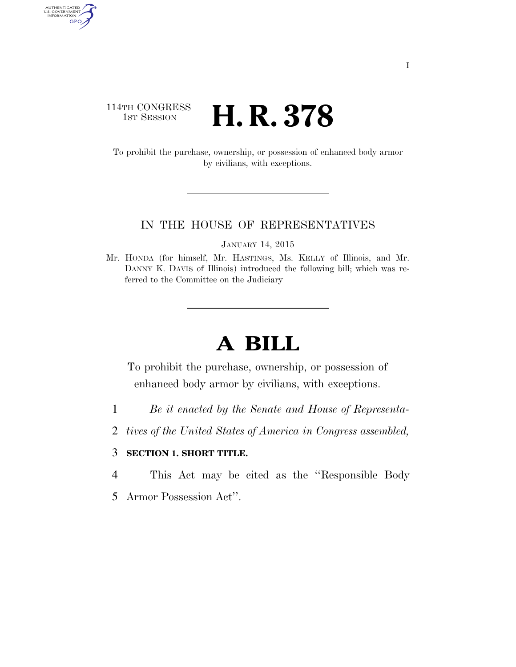# 114TH CONGRESS 1st Session **H. R. 378**

AUTHENTICATED<br>U.S. GOVERNMENT<br>INFORMATION GPO

> To prohibit the purchase, ownership, or possession of enhanced body armor by civilians, with exceptions.

### IN THE HOUSE OF REPRESENTATIVES

JANUARY 14, 2015

Mr. HONDA (for himself, Mr. HASTINGS, Ms. KELLY of Illinois, and Mr. DANNY K. DAVIS of Illinois) introduced the following bill; which was referred to the Committee on the Judiciary

# **A BILL**

To prohibit the purchase, ownership, or possession of enhanced body armor by civilians, with exceptions.

- 1 *Be it enacted by the Senate and House of Representa-*
- 2 *tives of the United States of America in Congress assembled,*

## 3 **SECTION 1. SHORT TITLE.**

- 4 This Act may be cited as the ''Responsible Body
- 5 Armor Possession Act''.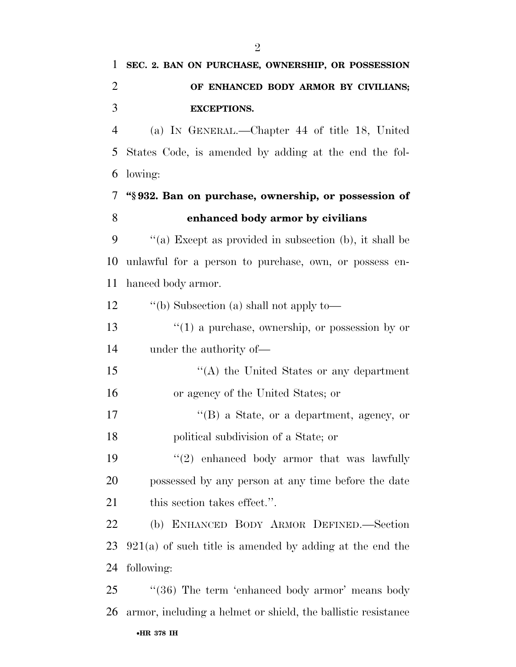**SEC. 2. BAN ON PURCHASE, OWNERSHIP, OR POSSESSION** 

| $\overline{2}$ | OF ENHANCED BODY ARMOR BY CIVILIANS;                          |
|----------------|---------------------------------------------------------------|
| 3              | <b>EXCEPTIONS.</b>                                            |
| $\overline{4}$ | (a) IN GENERAL.—Chapter 44 of title 18, United                |
| 5              | States Code, is amended by adding at the end the fol-         |
| 6              | lowing:                                                       |
| 7              | "§932. Ban on purchase, ownership, or possession of           |
| 8              | enhanced body armor by civilians                              |
| 9              | "(a) Except as provided in subsection (b), it shall be        |
| 10             | unlawful for a person to purchase, own, or possess en-        |
| 11             | hanced body armor.                                            |
| 12             | "(b) Subsection (a) shall not apply to-                       |
| 13             | $\lq(1)$ a purchase, ownership, or possession by or           |
| 14             | under the authority of—                                       |
| 15             | "(A) the United States or any department                      |
| 16             | or agency of the United States; or                            |
| 17             | "(B) a State, or a department, agency, or                     |
| 18             | political subdivision of a State; or                          |
| 19             | $\lq(2)$ enhanced body armor that was lawfully                |
| 20             | possessed by any person at any time before the date           |
| 21             | this section takes effect.".                                  |
| 22             | (b) ENHANCED BODY ARMOR DEFINED.—Section                      |
| 23             | $921(a)$ of such title is amended by adding at the end the    |
| 24             | following:                                                    |
| 25             | "(36) The term 'enhanced body armor' means body               |
| 26             | armor, including a helmet or shield, the ballistic resistance |

#### •**HR 378 IH**